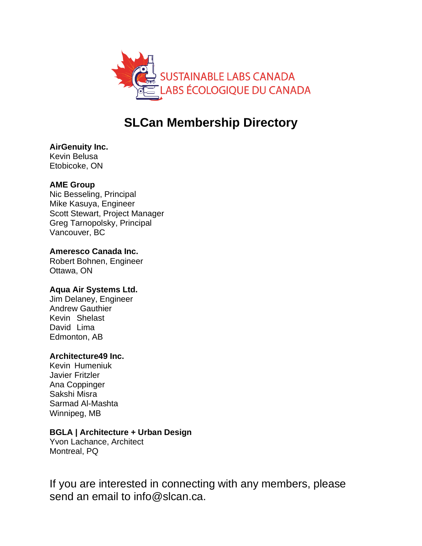

# **SLCan Membership Directory**

# **AirGenuity Inc.**

Kevin Belusa Etobicoke, ON

# **AME Group**

Nic Besseling, Principal Mike Kasuya, Engineer Scott Stewart, Project Manager Greg Tarnopolsky, Principal Vancouver, BC

# **Ameresco Canada Inc.**

Robert Bohnen, Engineer Ottawa, ON

# **Aqua Air Systems Ltd.**

Jim Delaney, Engineer Andrew Gauthier Kevin Shelast David Lima Edmonton, AB

# **Architecture49 Inc.**

Kevin Humeniuk Javier Fritzler Ana Coppinger Sakshi Misra Sarmad Al-Mashta Winnipeg, MB

# **BGLA | Architecture + Urban Design**

Yvon Lachance, Architect Montreal, PQ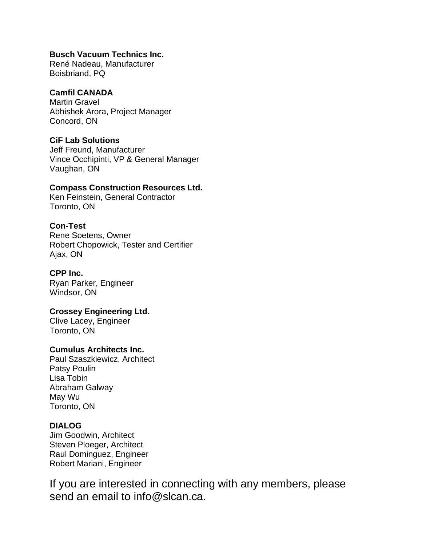## **Busch Vacuum Technics Inc.**

René Nadeau, Manufacturer Boisbriand, PQ

## **Camfil CANADA**

Martin Gravel Abhishek Arora, Project Manager Concord, ON

## **CiF Lab Solutions**

Jeff Freund, Manufacturer Vince Occhipinti, VP & General Manager Vaughan, ON

## **Compass Construction Resources Ltd.**

Ken Feinstein, General Contractor Toronto, ON

# **Con-Test**

Rene Soetens, Owner Robert Chopowick, Tester and Certifier Ajax, ON

## **CPP Inc.**

Ryan Parker, Engineer Windsor, ON

## **Crossey Engineering Ltd.**

Clive Lacey, Engineer Toronto, ON

## **Cumulus Architects Inc.**

Paul Szaszkiewicz, Architect Patsy Poulin Lisa Tobin Abraham Galway May Wu Toronto, ON

## **DIALOG**

Jim Goodwin, Architect Steven Ploeger, Architect Raul Dominguez, Engineer Robert Mariani, Engineer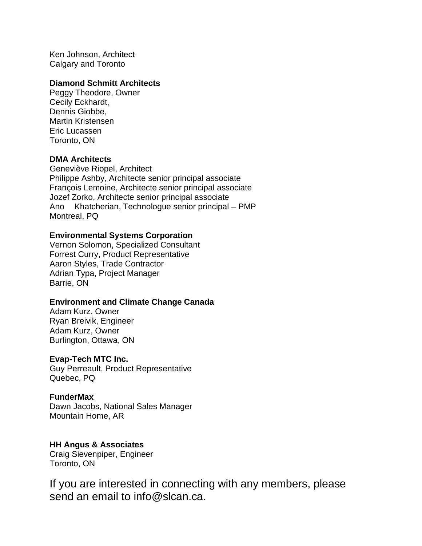Ken Johnson, Architect Calgary and Toronto

#### **Diamond Schmitt Architects**

Peggy Theodore, Owner Cecily Eckhardt, Dennis Giobbe, Martin Kristensen Eric Lucassen Toronto, ON

#### **DMA Architects**

Geneviève Riopel, Architect Philippe Ashby, Architecte senior principal associate François Lemoine, Architecte senior principal associate Jozef Zorko, Architecte senior principal associate Ano Khatcherian, Technologue senior principal – PMP Montreal, PQ

#### **Environmental Systems Corporation**

Vernon Solomon, Specialized Consultant Forrest Curry, Product Representative Aaron Styles, Trade Contractor Adrian Typa, Project Manager Barrie, ON

#### **Environment and Climate Change Canada**

Adam Kurz, Owner Ryan Breivik, Engineer Adam Kurz, Owner Burlington, Ottawa, ON

#### **Evap-Tech MTC Inc.**

Guy Perreault, Product Representative Quebec, PQ

#### **FunderMax**

Dawn Jacobs, National Sales Manager Mountain Home, AR

#### **HH Angus & Associates**

Craig Sievenpiper, Engineer Toronto, ON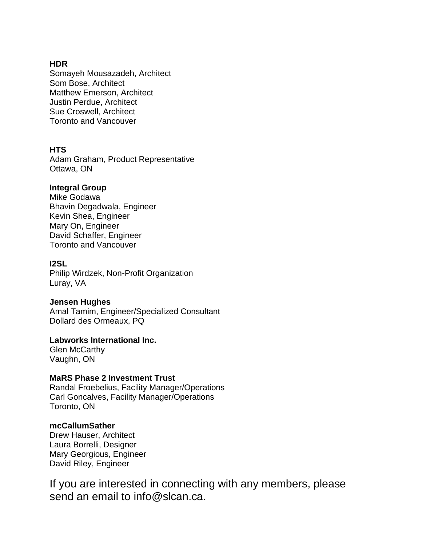## **HDR**

Somayeh Mousazadeh, Architect Som Bose, Architect Matthew Emerson, Architect Justin Perdue, Architect Sue Croswell, Architect Toronto and Vancouver

## **HTS**

Adam Graham, Product Representative Ottawa, ON

## **Integral Group**

Mike Godawa Bhavin Degadwala, Engineer Kevin Shea, Engineer Mary On, Engineer David Schaffer, Engineer Toronto and Vancouver

## **I2SL**

Philip Wirdzek, Non-Profit Organization Luray, VA

## **Jensen Hughes**

Amal Tamim, Engineer/Specialized Consultant Dollard des Ormeaux, PQ

## **Labworks International Inc.**

Glen McCarthy Vaughn, ON

# **MaRS Phase 2 Investment Trust**

Randal Froebelius, Facility Manager/Operations Carl Goncalves, Facility Manager/Operations Toronto, ON

## **mcCallumSather**

Drew Hauser, Architect Laura Borrelli, Designer Mary Georgious, Engineer David Riley, Engineer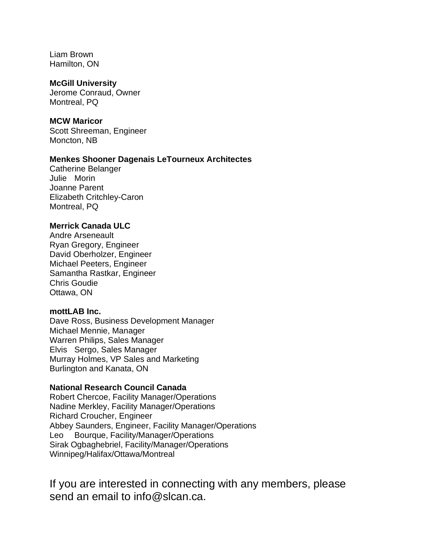Liam Brown Hamilton, ON

#### **McGill University**

Jerome Conraud, Owner Montreal, PQ

#### **MCW Maricor**

Scott Shreeman, Engineer Moncton, NB

## **Menkes Shooner Dagenais LeTourneux Architectes**

Catherine Belanger Julie Morin Joanne Parent Elizabeth Critchley-Caron Montreal, PQ

#### **Merrick Canada ULC**

Andre Arseneault Ryan Gregory, Engineer David Oberholzer, Engineer Michael Peeters, Engineer Samantha Rastkar, Engineer Chris Goudie Ottawa, ON

## **mottLAB Inc.**

Dave Ross, Business Development Manager Michael Mennie, Manager Warren Philips, Sales Manager Elvis Sergo, Sales Manager Murray Holmes, VP Sales and Marketing Burlington and Kanata, ON

#### **National Research Council Canada**

Robert Chercoe, Facility Manager/Operations Nadine Merkley, Facility Manager/Operations Richard Croucher, Engineer Abbey Saunders, Engineer, Facility Manager/Operations Leo Bourque, Facility/Manager/Operations Sirak Ogbaghebriel, Facility/Manager/Operations Winnipeg/Halifax/Ottawa/Montreal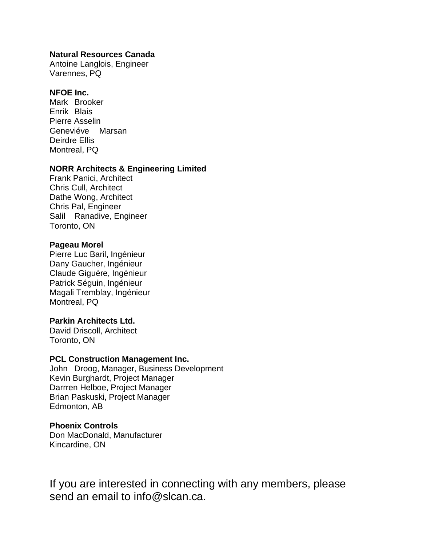### **Natural Resources Canada**

Antoine Langlois, Engineer Varennes, PQ

## **NFOE Inc.**

Mark Brooker Enrik Blais Pierre Asselin Geneviéve Marsan Deirdre Ellis Montreal, PQ

## **NORR Architects & Engineering Limited**

Frank Panici, Architect Chris Cull, Architect Dathe Wong, Architect Chris Pal, Engineer Salil Ranadive, Engineer Toronto, ON

## **Pageau Morel**

Pierre Luc Baril, Ingénieur Dany Gaucher, Ingénieur Claude Giguère, Ingénieur Patrick Séguin, Ingénieur Magali Tremblay, Ingénieur Montreal, PQ

## **Parkin Architects Ltd.**

David Driscoll, Architect Toronto, ON

#### **PCL Construction Management Inc.**

John Droog, Manager, Business Development Kevin Burghardt, Project Manager Darrren Helboe, Project Manager Brian Paskuski, Project Manager Edmonton, AB

#### **Phoenix Controls**

Don MacDonald, Manufacturer Kincardine, ON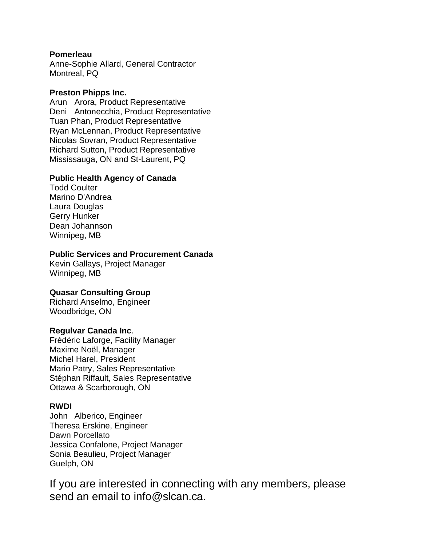## **Pomerleau**

Anne-Sophie Allard, General Contractor Montreal, PQ

## **Preston Phipps Inc.**

Arun Arora, Product Representative Deni Antonecchia, Product Representative Tuan Phan, Product Representative Ryan McLennan, Product Representative Nicolas Sovran, Product Representative Richard Sutton, Product Representative Mississauga, ON and St-Laurent, PQ

## **Public Health Agency of Canada**

Todd Coulter Marino D'Andrea Laura Douglas Gerry Hunker Dean Johannson Winnipeg, MB

## **Public Services and Procurement Canada**

Kevin Gallays, Project Manager Winnipeg, MB

## **Quasar Consulting Group**

Richard Anselmo, Engineer Woodbridge, ON

#### **Regulvar Canada Inc**.

Frédéric Laforge, Facility Manager Maxime Noël, Manager Michel Harel, President Mario Patry, Sales Representative Stéphan Riffault, Sales Representative Ottawa & Scarborough, ON

## **RWDI**

John Alberico, Engineer Theresa Erskine, Engineer Dawn Porcellato Jessica Confalone, Project Manager Sonia Beaulieu, Project Manager Guelph, ON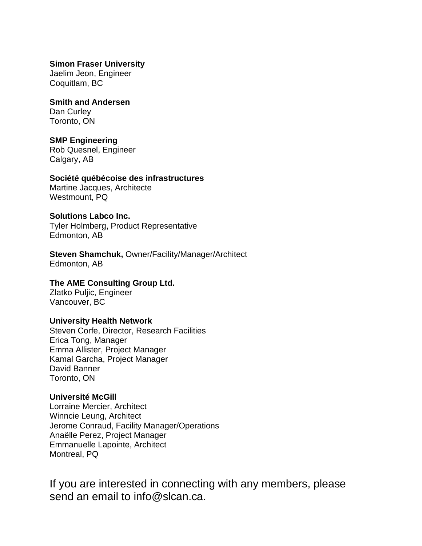**Simon Fraser University** Jaelim Jeon, Engineer Coquitlam, BC

**Smith and Andersen** Dan Curley Toronto, ON

#### **SMP Engineering**

Rob Quesnel, Engineer Calgary, AB

#### **Société québécoise des infrastructures**

Martine Jacques, Architecte Westmount, PQ

#### **Solutions Labco Inc.**

Tyler Holmberg, Product Representative Edmonton, AB

**Steven Shamchuk,** Owner/Facility/Manager/Architect Edmonton, AB

#### **The AME Consulting Group Ltd.**

Zlatko Puljic, Engineer Vancouver, BC

#### **University Health Network**

Steven Corfe, Director, Research Facilities Erica Tong, Manager Emma Allister, Project Manager Kamal Garcha, Project Manager David Banner Toronto, ON

#### **Université McGill**

Lorraine Mercier, Architect Winncie Leung, Architect Jerome Conraud, Facility Manager/Operations Anaëlle Perez, Project Manager Emmanuelle Lapointe, Architect Montreal, PQ